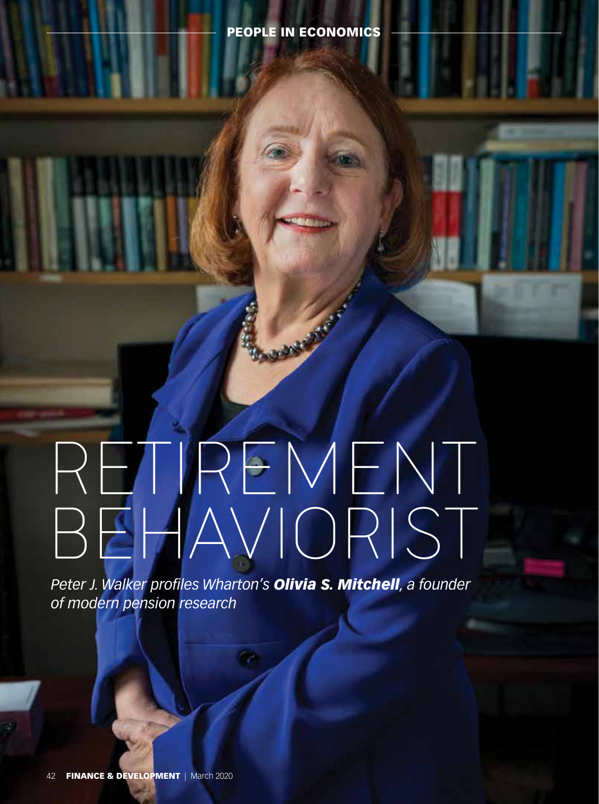# RETIREMENT BEHAVIORIST

Branch of Miles

*Peter J. Walker profiles Wharton's Olivia S. Mitchell, a founder of modern pension research*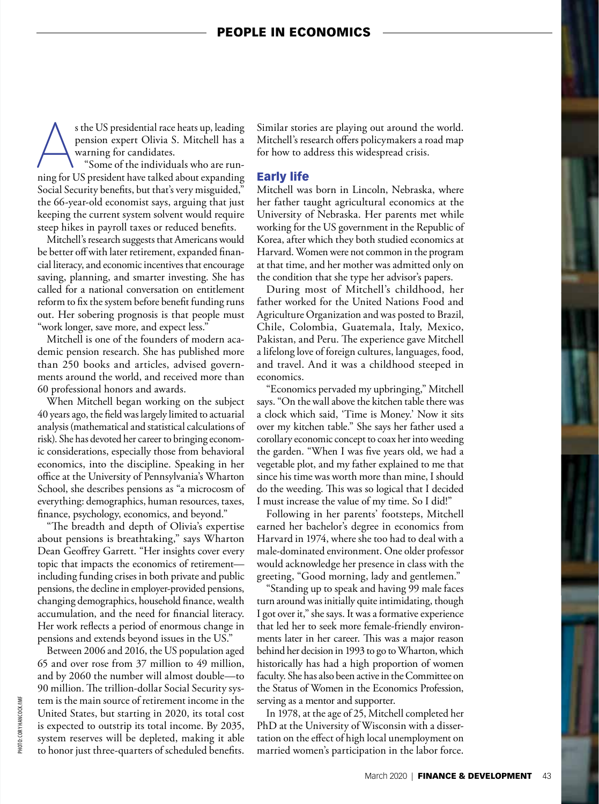s the US presidential race heats up, leading<br>pension expert Olivia S. Mitchell has a<br>warning for candidates.<br>"Some of the individuals who are run-<br>ning for US president have talked about expanding pension expert Olivia S. Mitchell has a warning for candidates.

"Some of the individuals who are run-Social Security benefits, but that's very misguided," the 66-year-old economist says, arguing that just keeping the current system solvent would require steep hikes in payroll taxes or reduced benefits.

Mitchell's research suggests that Americans would be better off with later retirement, expanded financial literacy, and economic incentives that encourage saving, planning, and smarter investing. She has called for a national conversation on entitlement reform to fix the system before benefit funding runs out. Her sobering prognosis is that people must "work longer, save more, and expect less."

Mitchell is one of the founders of modern academic pension research. She has published more than 250 books and articles, advised governments around the world, and received more than 60 professional honors and awards.

When Mitchell began working on the subject 40 years ago, the field was largely limited to actuarial analysis (mathematical and statistical calculations of risk). She has devoted her career to bringing economic considerations, especially those from behavioral economics, into the discipline. Speaking in her office at the University of Pennsylvania's Wharton School, she describes pensions as "a microcosm of everything: demographics, human resources, taxes, finance, psychology, economics, and beyond."

"The breadth and depth of Olivia's expertise about pensions is breathtaking," says Wharton Dean Geoffrey Garrett. "Her insights cover every topic that impacts the economics of retirement including funding crises in both private and public pensions, the decline in employer-provided pensions, changing demographics, household finance, wealth accumulation, and the need for financial literacy. Her work reflects a period of enormous change in pensions and extends beyond issues in the US."

Between 2006 and 2016, the US population aged 65 and over rose from 37 million to 49 million, and by 2060 the number will almost double—to 90 million. The trillion-dollar Social Security system is the main source of retirement income in the United States, but starting in 2020, its total cost is expected to outstrip its total income. By 2035, system reserves will be depleted, making it able to honor just three-quarters of scheduled benefits.

Similar stories are playing out around the world. Mitchell's research offers policymakers a road map for how to address this widespread crisis.

### Early life

Mitchell was born in Lincoln, Nebraska, where her father taught agricultural economics at the University of Nebraska. Her parents met while working for the US government in the Republic of Korea, after which they both studied economics at Harvard. Women were not common in the program at that time, and her mother was admitted only on the condition that she type her advisor's papers.

During most of Mitchell's childhood, her father worked for the United Nations Food and Agriculture Organization and was posted to Brazil, Chile, Colombia, Guatemala, Italy, Mexico, Pakistan, and Peru. The experience gave Mitchell a lifelong love of foreign cultures, languages, food, and travel. And it was a childhood steeped in economics.

"Economics pervaded my upbringing," Mitchell says. "On the wall above the kitchen table there was a clock which said, 'Time is Money.' Now it sits over my kitchen table." She says her father used a corollary economic concept to coax her into weeding the garden. "When I was five years old, we had a vegetable plot, and my father explained to me that since his time was worth more than mine, I should do the weeding. This was so logical that I decided I must increase the value of my time. So I did!"

Following in her parents' footsteps, Mitchell earned her bachelor's degree in economics from Harvard in 1974, where she too had to deal with a male-dominated environment. One older professor would acknowledge her presence in class with the greeting, "Good morning, lady and gentlemen."

"Standing up to speak and having 99 male faces turn around was initially quite intimidating, though I got over it," she says. It was a formative experience that led her to seek more female-friendly environments later in her career. This was a major reason behind her decision in 1993 to go to Wharton, which historically has had a high proportion of women faculty. She has also been active in the Committee on the Status of Women in the Economics Profession, serving as a mentor and supporter.

In 1978, at the age of 25, Mitchell completed her PhD at the University of Wisconsin with a dissertation on the effect of high local unemployment on married women's participation in the labor force.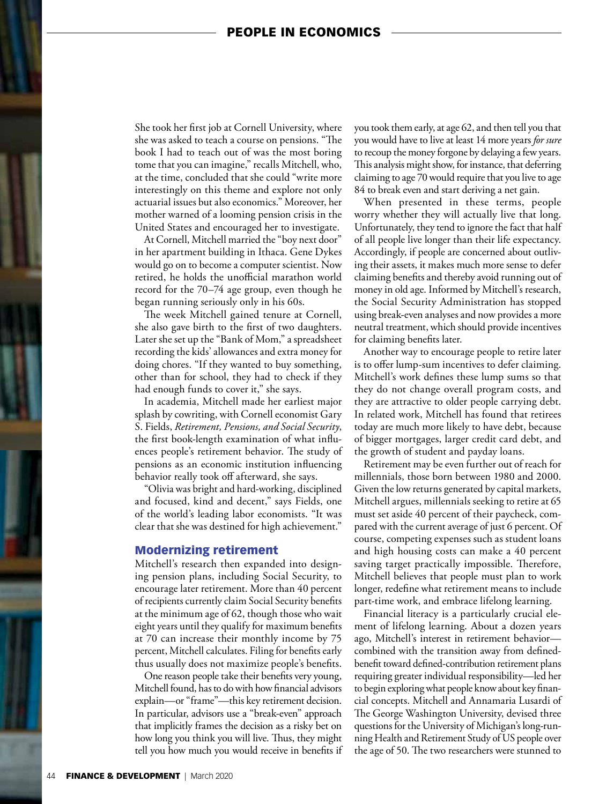# PEOPLE IN ECONOMICS

She took her first job at Cornell University, where she was asked to teach a course on pensions. "The book I had to teach out of was the most boring tome that you can imagine," recalls Mitchell, who, at the time, concluded that she could "write more interestingly on this theme and explore not only actuarial issues but also economics." Moreover, her mother warned of a looming pension crisis in the United States and encouraged her to investigate.

At Cornell, Mitchell married the "boy next door" in her apartment building in Ithaca. Gene Dykes would go on to become a computer scientist. Now retired, he holds the unofficial marathon world record for the 70–74 age group, even though he began running seriously only in his 60s.

The week Mitchell gained tenure at Cornell, she also gave birth to the first of two daughters. Later she set up the "Bank of Mom," a spreadsheet recording the kids' allowances and extra money for doing chores. "If they wanted to buy something, other than for school, they had to check if they had enough funds to cover it," she says.

In academia, Mitchell made her earliest major splash by cowriting, with Cornell economist Gary S. Fields, *Retirement, Pensions, and Social Security*, the first book-length examination of what influences people's retirement behavior. The study of pensions as an economic institution influencing behavior really took off afterward, she says.

"Olivia was bright and hard-working, disciplined and focused, kind and decent," says Fields, one of the world's leading labor economists. "It was clear that she was destined for high achievement."

## Modernizing retirement

Mitchell's research then expanded into designing pension plans, including Social Security, to encourage later retirement. More than 40 percent of recipients currently claim Social Security benefits at the minimum age of 62, though those who wait eight years until they qualify for maximum benefits at 70 can increase their monthly income by 75 percent, Mitchell calculates. Filing for benefits early thus usually does not maximize people's benefits.

One reason people take their benefits very young, Mitchell found, has to do with how financial advisors explain—or "frame"—this key retirement decision. In particular, advisors use a "break-even" approach that implicitly frames the decision as a risky bet on how long you think you will live. Thus, they might tell you how much you would receive in benefits if you took them early, at age 62, and then tell you that you would have to live at least 14 more years *for sure*  to recoup the money forgone by delaying a few years. This analysis might show, for instance, that deferring claiming to age 70 would require that you live to age 84 to break even and start deriving a net gain.

When presented in these terms, people worry whether they will actually live that long. Unfortunately, they tend to ignore the fact that half of all people live longer than their life expectancy. Accordingly, if people are concerned about outliving their assets, it makes much more sense to defer claiming benefits and thereby avoid running out of money in old age. Informed by Mitchell's research, the Social Security Administration has stopped using break-even analyses and now provides a more neutral treatment, which should provide incentives for claiming benefits later.

Another way to encourage people to retire later is to offer lump-sum incentives to defer claiming. Mitchell's work defines these lump sums so that they do not change overall program costs, and they are attractive to older people carrying debt. In related work, Mitchell has found that retirees today are much more likely to have debt, because of bigger mortgages, larger credit card debt, and the growth of student and payday loans.

Retirement may be even further out of reach for millennials, those born between 1980 and 2000. Given the low returns generated by capital markets, Mitchell argues, millennials seeking to retire at 65 must set aside 40 percent of their paycheck, compared with the current average of just 6 percent. Of course, competing expenses such as student loans and high housing costs can make a 40 percent saving target practically impossible. Therefore, Mitchell believes that people must plan to work longer, redefine what retirement means to include part-time work, and embrace lifelong learning.

Financial literacy is a particularly crucial element of lifelong learning. About a dozen years ago, Mitchell's interest in retirement behavior combined with the transition away from definedbenefit toward defined-contribution retirement plans requiring greater individual responsibility—led her to begin exploring what people know about key financial concepts. Mitchell and Annamaria Lusardi of The George Washington University, devised three questions for the University of Michigan's long-running Health and Retirement Study of US people over the age of 50. The two researchers were stunned to